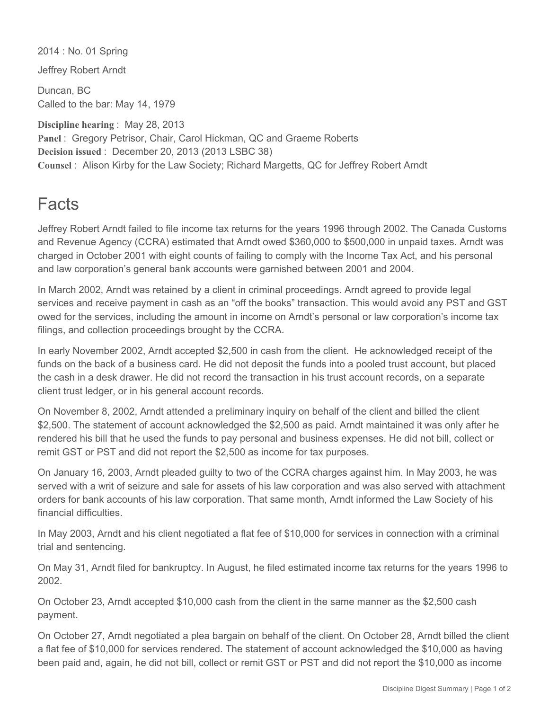2014 : No. 01 Spring

Jeffrey Robert Arndt

Duncan, BC Called to the bar: May 14, 1979

**Discipline hearing** : May 28, 2013 **Panel** : Gregory Petrisor, Chair, Carol Hickman, QC and Graeme Roberts **Decision issued** : December 20, 2013 (2013 LSBC 38) **Counsel** : Alison Kirby for the Law Society; Richard Margetts, QC for Jeffrey Robert Arndt

## **Facts**

Jeffrey Robert Arndt failed to file income tax returns for the years 1996 through 2002. The Canada Customs and Revenue Agency (CCRA) estimated that Arndt owed \$360,000 to \$500,000 in unpaid taxes. Arndt was charged in October 2001 with eight counts of failing to comply with the Income Tax Act, and his personal and law corporation's general bank accounts were garnished between 2001 and 2004.

In March 2002, Arndt was retained by a client in criminal proceedings. Arndt agreed to provide legal services and receive payment in cash as an "off the books" transaction. This would avoid any PST and GST owed for the services, including the amount in income on Arndt's personal or law corporation's income tax filings, and collection proceedings brought by the CCRA.

In early November 2002, Arndt accepted \$2,500 in cash from the client. He acknowledged receipt of the funds on the back of a business card. He did not deposit the funds into a pooled trust account, but placed the cash in a desk drawer. He did not record the transaction in his trust account records, on a separate client trust ledger, or in his general account records.

On November 8, 2002, Arndt attended a preliminary inquiry on behalf of the client and billed the client \$2,500. The statement of account acknowledged the \$2,500 as paid. Arndt maintained it was only after he rendered his bill that he used the funds to pay personal and business expenses. He did not bill, collect or remit GST or PST and did not report the \$2,500 as income for tax purposes.

On January 16, 2003, Arndt pleaded guilty to two of the CCRA charges against him. In May 2003, he was served with a writ of seizure and sale for assets of his law corporation and was also served with attachment orders for bank accounts of his law corporation. That same month, Arndt informed the Law Society of his financial difficulties.

In May 2003, Arndt and his client negotiated a flat fee of \$10,000 for services in connection with a criminal trial and sentencing.

On May 31, Arndt filed for bankruptcy. In August, he filed estimated income tax returns for the years 1996 to 2002.

On October 23, Arndt accepted \$10,000 cash from the client in the same manner as the \$2,500 cash payment.

On October 27, Arndt negotiated a plea bargain on behalf of the client. On October 28, Arndt billed the client a flat fee of \$10,000 for services rendered. The statement of account acknowledged the \$10,000 as having been paid and, again, he did not bill, collect or remit GST or PST and did not report the \$10,000 as income